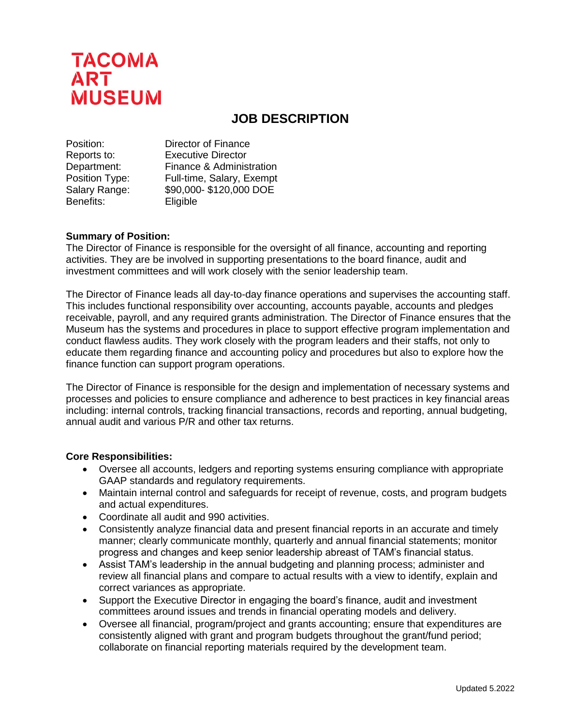

# **JOB DESCRIPTION**

| Position:      | Director of Finance       |
|----------------|---------------------------|
| Reports to:    | <b>Executive Director</b> |
| Department:    | Finance & Administration  |
| Position Type: | Full-time, Salary, Exempt |
| Salary Range:  | \$90,000-\$120,000 DOE    |
| Benefits:      | Eligible                  |

#### **Summary of Position:**

The Director of Finance is responsible for the oversight of all finance, accounting and reporting activities. They are be involved in supporting presentations to the board finance, audit and investment committees and will work closely with the senior leadership team.

The Director of Finance leads all day-to-day finance operations and supervises the accounting staff. This includes functional responsibility over accounting, accounts payable, accounts and pledges receivable, payroll, and any required grants administration. The Director of Finance ensures that the Museum has the systems and procedures in place to support effective program implementation and conduct flawless audits. They work closely with the program leaders and their staffs, not only to educate them regarding finance and accounting policy and procedures but also to explore how the finance function can support program operations.

The Director of Finance is responsible for the design and implementation of necessary systems and processes and policies to ensure compliance and adherence to best practices in key financial areas including: internal controls, tracking financial transactions, records and reporting, annual budgeting, annual audit and various P/R and other tax returns.

#### **Core Responsibilities:**

- Oversee all accounts, ledgers and reporting systems ensuring compliance with appropriate GAAP standards and regulatory requirements.
- Maintain internal control and safeguards for receipt of revenue, costs, and program budgets and actual expenditures.
- Coordinate all audit and 990 activities.
- Consistently analyze financial data and present financial reports in an accurate and timely manner; clearly communicate monthly, quarterly and annual financial statements; monitor progress and changes and keep senior leadership abreast of TAM's financial status.
- Assist TAM's leadership in the annual budgeting and planning process; administer and review all financial plans and compare to actual results with a view to identify, explain and correct variances as appropriate.
- Support the Executive Director in engaging the board's finance, audit and investment committees around issues and trends in financial operating models and delivery.
- Oversee all financial, program/project and grants accounting; ensure that expenditures are consistently aligned with grant and program budgets throughout the grant/fund period; collaborate on financial reporting materials required by the development team.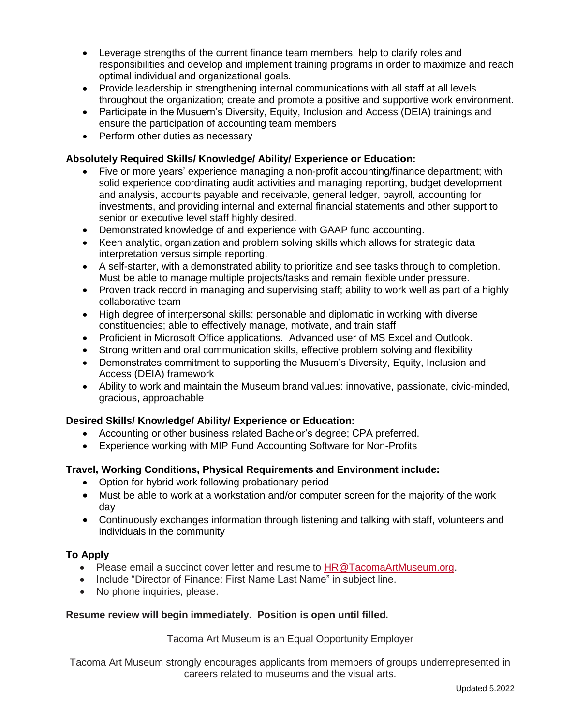- Leverage strengths of the current finance team members, help to clarify roles and responsibilities and develop and implement training programs in order to maximize and reach optimal individual and organizational goals.
- Provide leadership in strengthening internal communications with all staff at all levels throughout the organization; create and promote a positive and supportive work environment.
- Participate in the Musuem's Diversity, Equity, Inclusion and Access (DEIA) trainings and ensure the participation of accounting team members
- Perform other duties as necessary

## **Absolutely Required Skills/ Knowledge/ Ability/ Experience or Education:**

- Five or more years' experience managing a non-profit accounting/finance department; with solid experience coordinating audit activities and managing reporting, budget development and analysis, accounts payable and receivable, general ledger, payroll, accounting for investments, and providing internal and external financial statements and other support to senior or executive level staff highly desired.
- Demonstrated knowledge of and experience with GAAP fund accounting.
- Keen analytic, organization and problem solving skills which allows for strategic data interpretation versus simple reporting.
- A self-starter, with a demonstrated ability to prioritize and see tasks through to completion. Must be able to manage multiple projects/tasks and remain flexible under pressure.
- Proven track record in managing and supervising staff; ability to work well as part of a highly collaborative team
- High degree of interpersonal skills: personable and diplomatic in working with diverse constituencies; able to effectively manage, motivate, and train staff
- Proficient in Microsoft Office applications. Advanced user of MS Excel and Outlook.
- Strong written and oral communication skills, effective problem solving and flexibility
- Demonstrates commitment to supporting the Musuem's Diversity, Equity, Inclusion and Access (DEIA) framework
- Ability to work and maintain the Museum brand values: innovative, passionate, civic-minded, gracious, approachable

## **Desired Skills/ Knowledge/ Ability/ Experience or Education:**

- Accounting or other business related Bachelor's degree; CPA preferred.
- Experience working with MIP Fund Accounting Software for Non-Profits

## **Travel, Working Conditions, Physical Requirements and Environment include:**

- Option for hybrid work following probationary period
- Must be able to work at a workstation and/or computer screen for the majority of the work day
- Continuously exchanges information through listening and talking with staff, volunteers and individuals in the community

## **To Apply**

- Please email a succinct cover letter and resume to [HR@TacomaArtMuseum.org.](mailto:HR@TacomaArtMuseum.org)
- Include "Director of Finance: First Name Last Name" in subject line.
- No phone inquiries, please.

## **Resume review will begin immediately. Position is open until filled.**

Tacoma Art Museum is an Equal Opportunity Employer

Tacoma Art Museum strongly encourages applicants from members of groups underrepresented in careers related to museums and the visual arts.